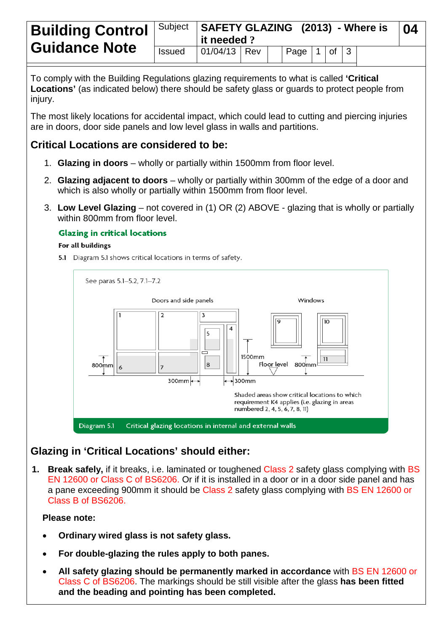| <b>Guidance Note</b> |               | Building Control   Subject   SAFETY GLAZING (2013) - Where is<br>$\parallel$ it needed ? |  |  |                                     |  |  |  | . በ4 |
|----------------------|---------------|------------------------------------------------------------------------------------------|--|--|-------------------------------------|--|--|--|------|
|                      | <b>Issued</b> | $ 01/04/13 $ Rev                                                                         |  |  | $\vert$ Page $\vert$ 1 of $\vert$ 3 |  |  |  |      |

To comply with the Building Regulations glazing requirements to what is called **'Critical Locations'** (as indicated below) there should be safety glass or guards to protect people from injury.

The most likely locations for accidental impact, which could lead to cutting and piercing injuries are in doors, door side panels and low level glass in walls and partitions.

## **Critical Locations are considered to be:**

- 1. **Glazing in doors** wholly or partially within 1500mm from floor level.
- 2. **Glazing adjacent to doors** wholly or partially within 300mm of the edge of a door and which is also wholly or partially within 1500mm from floor level.
- 3. **Low Level Glazing** not covered in (1) OR (2) ABOVE glazing that is wholly or partially within 800mm from floor level.

### **Glazing in critical locations**

#### For all buildings

5.1 Diagram 5.1 shows critical locations in terms of safety.



# **Glazing in 'Critical Locations' should either:**

**1. Break safely,** if it breaks, i.e. laminated or toughened Class 2 safety glass complying with BS EN 12600 or Class C of BS6206. Or if it is installed in a door or in a door side panel and has a pane exceeding 900mm it should be Class 2 safety glass complying with BS EN 12600 or Class B of BS6206.

## **Please note:**

- **Ordinary wired glass is not safety glass.**
- **For double-glazing the rules apply to both panes.**
- **All safety glazing should be permanently marked in accordance** with BS EN 12600 or Class C of BS6206. The markings should be still visible after the glass **has been fitted and the beading and pointing has been completed.**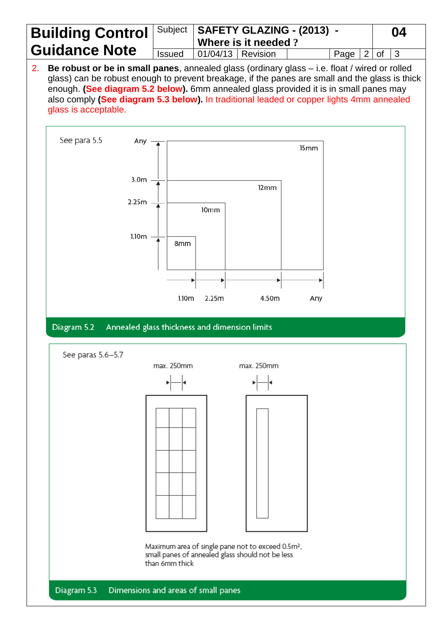